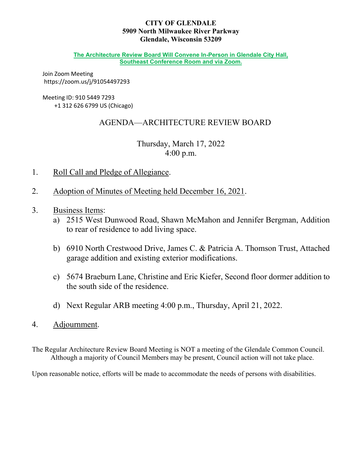### **CITY OF GLENDALE 5909 North Milwaukee River Parkway Glendale, Wisconsin 53209**

**The Architecture Review Board Will Convene In-Person in Glendale City Hall, Southeast Conference Room and via Zoom.** 

Join Zoom Meeting https://zoom.us/j/91054497293

### Meeting ID: 910 5449 7293 +1 312 626 6799 US (Chicago)

# AGENDA—ARCHITECTURE REVIEW BOARD

# Thursday, March 17, 2022 4:00 p.m.

- 1. Roll Call and Pledge of Allegiance.
- 2. Adoption of Minutes of Meeting held December 16, 2021.
- 3. Business Items:
	- a) 2515 West Dunwood Road, Shawn McMahon and Jennifer Bergman, Addition to rear of residence to add living space.
	- b) 6910 North Crestwood Drive, James C. & Patricia A. Thomson Trust, Attached garage addition and existing exterior modifications.
	- c) 5674 Braeburn Lane, Christine and Eric Kiefer, Second floor dormer addition to the south side of the residence.
	- d) Next Regular ARB meeting 4:00 p.m., Thursday, April 21, 2022.
- 4. Adjournment.

The Regular Architecture Review Board Meeting is NOT a meeting of the Glendale Common Council. Although a majority of Council Members may be present, Council action will not take place.

Upon reasonable notice, efforts will be made to accommodate the needs of persons with disabilities.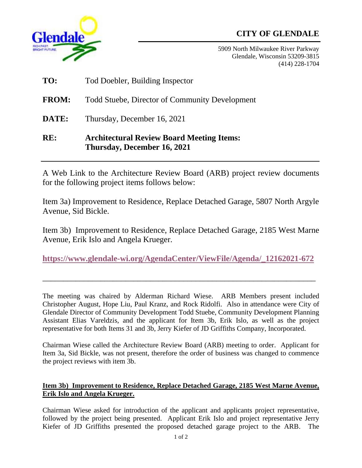# **CITY OF GLENDALE**



5909 North Milwaukee River Parkway Glendale, Wisconsin 53209-3815 (414) 228-1704

- **TO:** Tod Doebler, Building Inspector
- **FROM:** Todd Stuebe, Director of Community Development
- **DATE:** Thursday, December 16, 2021

# **RE: Architectural Review Board Meeting Items: Thursday, December 16, 2021**

A Web Link to the Architecture Review Board (ARB) project review documents for the following project items follows below:

Item 3a) Improvement to Residence, Replace Detached Garage, 5807 North Argyle Avenue, Sid Bickle.

Item 3b) Improvement to Residence, Replace Detached Garage, 2185 West Marne Avenue, Erik Islo and Angela Krueger.

**[https://www.glendale-wi.org/AgendaCenter/ViewFile/Agenda/\\_12162021-672](https://www.glendale-wi.org/AgendaCenter/ViewFile/Agenda/_12162021-672)**

 $\overline{a_1}$  ,  $\overline{a_2}$  ,  $\overline{a_3}$  ,  $\overline{a_4}$  ,  $\overline{a_5}$  ,  $\overline{a_6}$  ,  $\overline{a_7}$  ,  $\overline{a_8}$  ,  $\overline{a_9}$  ,  $\overline{a_9}$  ,  $\overline{a_9}$  ,  $\overline{a_9}$  ,  $\overline{a_9}$  ,  $\overline{a_9}$  ,  $\overline{a_9}$  ,  $\overline{a_9}$  ,  $\overline{a_9}$  ,

The meeting was chaired by Alderman Richard Wiese. ARB Members present included Christopher August, Hope Liu, Paul Kranz, and Rock Ridolfi. Also in attendance were City of Glendale Director of Community Development Todd Stuebe, Community Development Planning Assistant Elias Vareldzis, and the applicant for Item 3b, Erik Islo, as well as the project representative for both Items 31 and 3b, Jerry Kiefer of JD Griffiths Company, Incorporated.

Chairman Wiese called the Architecture Review Board (ARB) meeting to order. Applicant for Item 3a, Sid Bickle, was not present, therefore the order of business was changed to commence the project reviews with item 3b.

# **Item 3b) Improvement to Residence, Replace Detached Garage, 2185 West Marne Avenue, Erik Islo and Angela Krueger.**

Chairman Wiese asked for introduction of the applicant and applicants project representative, followed by the project being presented. Applicant Erik Islo and project representative Jerry Kiefer of JD Griffiths presented the proposed detached garage project to the ARB. The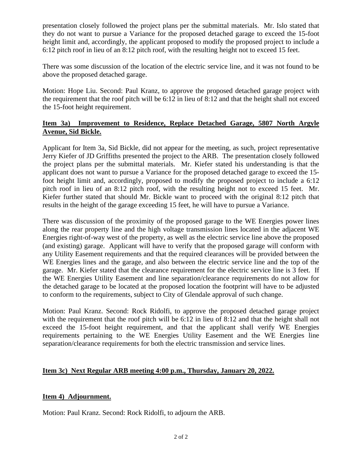presentation closely followed the project plans per the submittal materials. Mr. Islo stated that they do not want to pursue a Variance for the proposed detached garage to exceed the 15-foot height limit and, accordingly, the applicant proposed to modify the proposed project to include a 6:12 pitch roof in lieu of an 8:12 pitch roof, with the resulting height not to exceed 15 feet.

There was some discussion of the location of the electric service line, and it was not found to be above the proposed detached garage.

Motion: Hope Liu. Second: Paul Kranz, to approve the proposed detached garage project with the requirement that the roof pitch will be 6:12 in lieu of 8:12 and that the height shall not exceed the 15-foot height requirement.

# **Item 3a) Improvement to Residence, Replace Detached Garage, 5807 North Argyle Avenue, Sid Bickle.**

Applicant for Item 3a, Sid Bickle, did not appear for the meeting, as such, project representative Jerry Kiefer of JD Griffiths presented the project to the ARB. The presentation closely followed the project plans per the submittal materials. Mr. Kiefer stated his understanding is that the applicant does not want to pursue a Variance for the proposed detached garage to exceed the 15 foot height limit and, accordingly, proposed to modify the proposed project to include a 6:12 pitch roof in lieu of an 8:12 pitch roof, with the resulting height not to exceed 15 feet. Mr. Kiefer further stated that should Mr. Bickle want to proceed with the original 8:12 pitch that results in the height of the garage exceeding 15 feet, he will have to pursue a Variance.

There was discussion of the proximity of the proposed garage to the WE Energies power lines along the rear property line and the high voltage transmission lines located in the adjacent WE Energies right-of-way west of the property, as well as the electric service line above the proposed (and existing) garage. Applicant will have to verify that the proposed garage will conform with any Utility Easement requirements and that the required clearances will be provided between the WE Energies lines and the garage, and also between the electric service line and the top of the garage. Mr. Kiefer stated that the clearance requirement for the electric service line is 3 feet. If the WE Energies Utility Easement and line separation/clearance requirements do not allow for the detached garage to be located at the proposed location the footprint will have to be adjusted to conform to the requirements, subject to City of Glendale approval of such change.

Motion: Paul Kranz. Second: Rock Ridolfi, to approve the proposed detached garage project with the requirement that the roof pitch will be 6:12 in lieu of 8:12 and that the height shall not exceed the 15-foot height requirement, and that the applicant shall verify WE Energies requirements pertaining to the WE Energies Utility Easement and the WE Energies line separation/clearance requirements for both the electric transmission and service lines.

# **Item 3c) Next Regular ARB meeting 4:00 p.m., Thursday, January 20, 2022.**

# **Item 4) Adjournment.**

Motion: Paul Kranz. Second: Rock Ridolfi, to adjourn the ARB.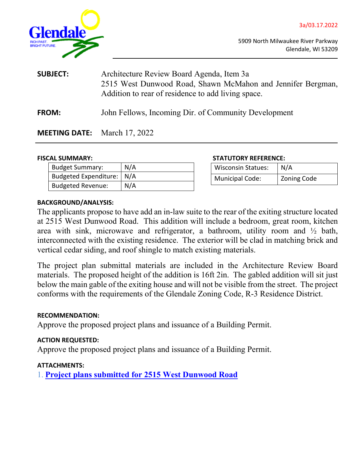



5909 North Milwaukee River Parkway Glendale, WI 53209

| <b>SUBJECT:</b> | Architecture Review Board Agenda, Item 3a<br>2515 West Dunwood Road, Shawn McMahon and Jennifer Bergman,<br>Addition to rear of residence to add living space. |
|-----------------|----------------------------------------------------------------------------------------------------------------------------------------------------------------|
| <b>FROM:</b>    | John Fellows, Incoming Dir. of Community Development                                                                                                           |

# **MEETING DATE:** March 17, 2022

| <b>Budget Summary:</b>   | N/A |
|--------------------------|-----|
| Budgeted Expenditure:    | N/A |
| <b>Budgeted Revenue:</b> | N/A |

#### **FISCAL SUMMARY: STATUTORY REFERENCE:**

| <b>Wisconsin Statues:</b> | N/A         |
|---------------------------|-------------|
| <b>Municipal Code:</b>    | Zoning Code |

### **BACKGROUND/ANALYSIS:**

The applicants propose to have add an in-law suite to the rear of the exiting structure located at 2515 West Dunwood Road. This addition will include a bedroom, great room, kitchen area with sink, microwave and refrigerator, a bathroom, utility room and ½ bath, interconnected with the existing residence. The exterior will be clad in matching brick and vertical cedar siding, and roof shingle to match existing materials.

The project plan submittal materials are included in the Architecture Review Board materials. The proposed height of the addition is 16ft 2in. The gabled addition will sit just below the main gable of the exiting house and will not be visible from the street. The project conforms with the requirements of the Glendale Zoning Code, R-3 Residence District.

#### **RECOMMENDATION:**

Approve the proposed project plans and issuance of a Building Permit.

#### **ACTION REQUESTED:**

Approve the proposed project plans and issuance of a Building Permit.

# **ATTACHMENTS:**

1. **Project plans [submitted for 2515 West Dunwood Road](http://www.glendale-wi.org/DocumentCenter/View/2452/Packet-Attachments-BERGMAN-combined)**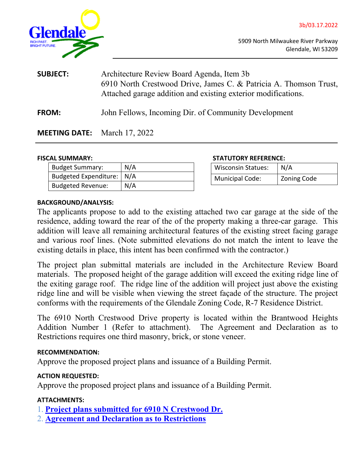



5909 North Milwaukee River Parkway Glendale, WI 53209

| <b>SUBJECT:</b> | Architecture Review Board Agenda, Item 3b<br>6910 North Crestwood Drive, James C. & Patricia A. Thomson Trust,<br>Attached garage addition and existing exterior modifications. |  |
|-----------------|---------------------------------------------------------------------------------------------------------------------------------------------------------------------------------|--|
| <b>FROM:</b>    | John Fellows, Incoming Dir. of Community Development                                                                                                                            |  |

# **MEETING DATE:** March 17, 2022

| <b>Budget Summary:</b>      | N/A |
|-----------------------------|-----|
| Budgeted Expenditure:   N/A |     |
| <b>Budgeted Revenue:</b>    | N/A |

#### **FISCAL SUMMARY: STATUTORY REFERENCE:**

| <b>Wisconsin Statues:</b> | N/A         |
|---------------------------|-------------|
| <b>Municipal Code:</b>    | Zoning Code |

#### **BACKGROUND/ANALYSIS:**

The applicants propose to add to the existing attached two car garage at the side of the residence, adding toward the rear of the of the property making a three-car garage. This addition will leave all remaining architectural features of the existing street facing garage and various roof lines. (Note submitted elevations do not match the intent to leave the existing details in place, this intent has been confirmed with the contractor.)

The project plan submittal materials are included in the Architecture Review Board materials. The proposed height of the garage addition will exceed the exiting ridge line of the exiting garage roof. The ridge line of the addition will project just above the existing ridge line and will be visible when viewing the street façade of the structure. The project conforms with the requirements of the Glendale Zoning Code, R-7 Residence District.

The 6910 North Crestwood Drive property is located within the Brantwood Heights Addition Number 1 (Refer to attachment). The Agreement and Declaration as to Restrictions requires one third masonry, brick, or stone veneer.

# **RECOMMENDATION:**

Approve the proposed project plans and issuance of a Building Permit.

# **ACTION REQUESTED:**

Approve the proposed project plans and issuance of a Building Permit.

# **ATTACHMENTS:**

- 1. **Project plans [submitted for 6910 N Crestwood Dr.](http://www.glendale-wi.org/DocumentCenter/View/2454/3b-6910-N-Crestwood-Packet-Attachments-Combined)**
- 2. **[Agreement and Declaration as to Restrictions](http://www.glendale-wi.org/DocumentCenter/View/2453/04082014-Brantwood-Heights-Addn-No-1-Agreement-and-Declaration-of-Restrictions-R)**